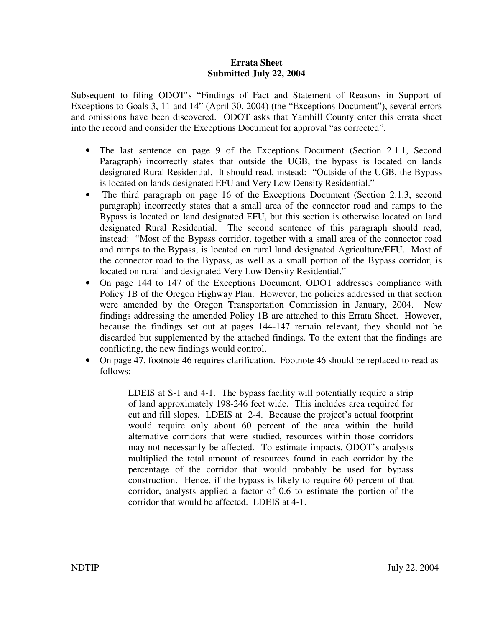## **Errata Sheet Submitted July 22, 2004**

Subsequent to filing ODOT's "Findings of Fact and Statement of Reasons in Support of Exceptions to Goals 3, 11 and 14" (April 30, 2004) (the "Exceptions Document"), several errors and omissions have been discovered. ODOT asks that Yamhill County enter this errata sheet into the record and consider the Exceptions Document for approval "as corrected".

- The last sentence on page 9 of the Exceptions Document (Section 2.1.1, Second Paragraph) incorrectly states that outside the UGB, the bypass is located on lands designated Rural Residential. It should read, instead: "Outside of the UGB, the Bypass is located on lands designated EFU and Very Low Density Residential."
- The third paragraph on page 16 of the Exceptions Document (Section 2.1.3, second paragraph) incorrectly states that a small area of the connector road and ramps to the Bypass is located on land designated EFU, but this section is otherwise located on land designated Rural Residential. The second sentence of this paragraph should read, instead: "Most of the Bypass corridor, together with a small area of the connector road and ramps to the Bypass, is located on rural land designated Agriculture/EFU. Most of the connector road to the Bypass, as well as a small portion of the Bypass corridor, is located on rural land designated Very Low Density Residential."
- On page 144 to 147 of the Exceptions Document, ODOT addresses compliance with Policy 1B of the Oregon Highway Plan. However, the policies addressed in that section were amended by the Oregon Transportation Commission in January, 2004. New findings addressing the amended Policy 1B are attached to this Errata Sheet. However, because the findings set out at pages 144-147 remain relevant, they should not be discarded but supplemented by the attached findings. To the extent that the findings are conflicting, the new findings would control.
- On page 47, footnote 46 requires clarification. Footnote 46 should be replaced to read as follows:

LDEIS at S-1 and 4-1. The bypass facility will potentially require a strip of land approximately 198-246 feet wide. This includes area required for cut and fill slopes. LDEIS at 2-4. Because the project's actual footprint would require only about 60 percent of the area within the build alternative corridors that were studied, resources within those corridors may not necessarily be affected. To estimate impacts, ODOT's analysts multiplied the total amount of resources found in each corridor by the percentage of the corridor that would probably be used for bypass construction. Hence, if the bypass is likely to require 60 percent of that corridor, analysts applied a factor of 0.6 to estimate the portion of the corridor that would be affected. LDEIS at 4-1.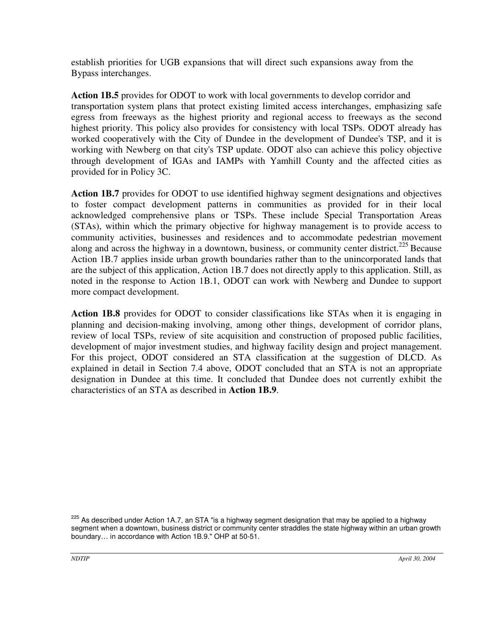establish priorities for UGB expansions that will direct such expansions away from the Bypass interchanges.

**Action 1B.5** provides for ODOT to work with local governments to develop corridor and transportation system plans that protect existing limited access interchanges, emphasizing safe egress from freeways as the highest priority and regional access to freeways as the second highest priority. This policy also provides for consistency with local TSPs. ODOT already has worked cooperatively with the City of Dundee in the development of Dundee's TSP, and it is working with Newberg on that city's TSP update. ODOT also can achieve this policy objective through development of IGAs and IAMPs with Yamhill County and the affected cities as provided for in Policy 3C.

**Action 1B.7** provides for ODOT to use identified highway segment designations and objectives to foster compact development patterns in communities as provided for in their local acknowledged comprehensive plans or TSPs. These include Special Transportation Areas (STAs), within which the primary objective for highway management is to provide access to community activities, businesses and residences and to accommodate pedestrian movement along and across the highway in a downtown, business, or community center district.<sup>225</sup> Because Action 1B.7 applies inside urban growth boundaries rather than to the unincorporated lands that are the subject of this application, Action 1B.7 does not directly apply to this application. Still, as noted in the response to Action 1B.1, ODOT can work with Newberg and Dundee to support more compact development.

**Action 1B.8** provides for ODOT to consider classifications like STAs when it is engaging in planning and decision-making involving, among other things, development of corridor plans, review of local TSPs, review of site acquisition and construction of proposed public facilities, development of major investment studies, and highway facility design and project management. For this project, ODOT considered an STA classification at the suggestion of DLCD. As explained in detail in Section 7.4 above, ODOT concluded that an STA is not an appropriate designation in Dundee at this time. It concluded that Dundee does not currently exhibit the characteristics of an STA as described in **Action 1B.9**.

<sup>225</sup> As described under Action 1A.7, an STA "is a highway segment designation that may be applied to a highway segment when a downtown, business district or community center straddles the state highway within an urban growth boundary… in accordance with Action 1B.9." OHP at 50-51.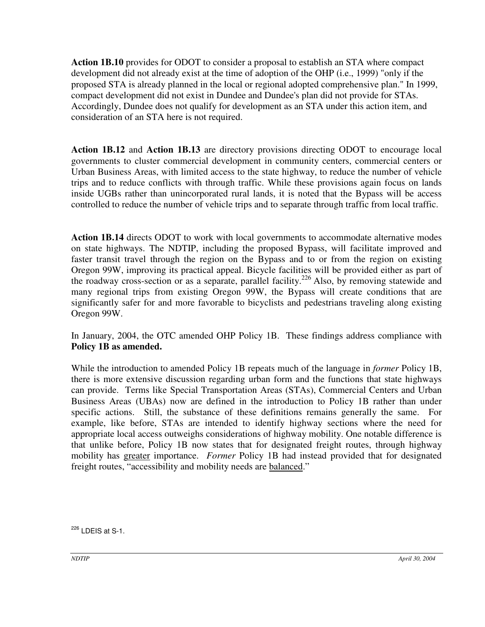**Action 1B.10** provides for ODOT to consider a proposal to establish an STA where compact development did not already exist at the time of adoption of the OHP (i.e., 1999) "only if the proposed STA is already planned in the local or regional adopted comprehensive plan." In 1999, compact development did not exist in Dundee and Dundee's plan did not provide for STAs. Accordingly, Dundee does not qualify for development as an STA under this action item, and consideration of an STA here is not required.

**Action 1B.12** and **Action 1B.13** are directory provisions directing ODOT to encourage local governments to cluster commercial development in community centers, commercial centers or Urban Business Areas, with limited access to the state highway, to reduce the number of vehicle trips and to reduce conflicts with through traffic. While these provisions again focus on lands inside UGBs rather than unincorporated rural lands, it is noted that the Bypass will be access controlled to reduce the number of vehicle trips and to separate through traffic from local traffic.

**Action 1B.14** directs ODOT to work with local governments to accommodate alternative modes on state highways. The NDTIP, including the proposed Bypass, will facilitate improved and faster transit travel through the region on the Bypass and to or from the region on existing Oregon 99W, improving its practical appeal. Bicycle facilities will be provided either as part of the roadway cross-section or as a separate, parallel facility.<sup>226</sup> Also, by removing statewide and many regional trips from existing Oregon 99W, the Bypass will create conditions that are significantly safer for and more favorable to bicyclists and pedestrians traveling along existing Oregon 99W.

In January, 2004, the OTC amended OHP Policy 1B. These findings address compliance with **Policy 1B as amended.**

While the introduction to amended Policy 1B repeats much of the language in *former* Policy 1B, there is more extensive discussion regarding urban form and the functions that state highways can provide. Terms like Special Transportation Areas (STAs), Commercial Centers and Urban Business Areas (UBAs) now are defined in the introduction to Policy 1B rather than under specific actions. Still, the substance of these definitions remains generally the same. For example, like before, STAs are intended to identify highway sections where the need for appropriate local access outweighs considerations of highway mobility. One notable difference is that unlike before, Policy 1B now states that for designated freight routes, through highway mobility has greater importance. *Former* Policy 1B had instead provided that for designated freight routes, "accessibility and mobility needs are balanced."

<sup>226</sup> LDEIS at S-1.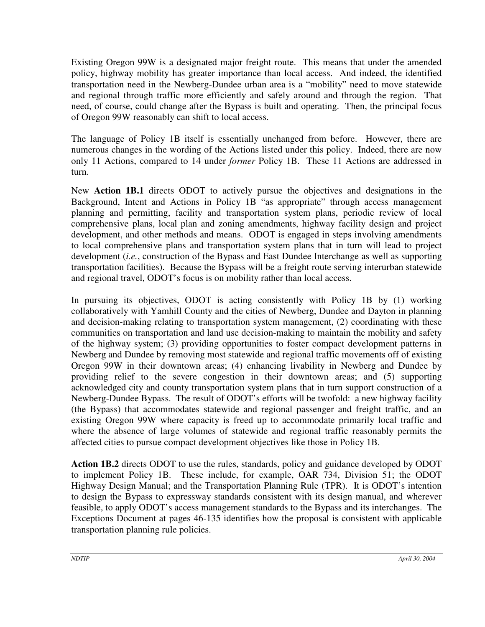Existing Oregon 99W is a designated major freight route. This means that under the amended policy, highway mobility has greater importance than local access. And indeed, the identified transportation need in the Newberg-Dundee urban area is a "mobility" need to move statewide and regional through traffic more efficiently and safely around and through the region. That need, of course, could change after the Bypass is built and operating. Then, the principal focus of Oregon 99W reasonably can shift to local access.

The language of Policy 1B itself is essentially unchanged from before. However, there are numerous changes in the wording of the Actions listed under this policy. Indeed, there are now only 11 Actions, compared to 14 under *former* Policy 1B. These 11 Actions are addressed in turn.

New **Action 1B.1** directs ODOT to actively pursue the objectives and designations in the Background, Intent and Actions in Policy 1B "as appropriate" through access management planning and permitting, facility and transportation system plans, periodic review of local comprehensive plans, local plan and zoning amendments, highway facility design and project development, and other methods and means. ODOT is engaged in steps involving amendments to local comprehensive plans and transportation system plans that in turn will lead to project development (*i.e.*, construction of the Bypass and East Dundee Interchange as well as supporting transportation facilities). Because the Bypass will be a freight route serving interurban statewide and regional travel, ODOT's focus is on mobility rather than local access.

In pursuing its objectives, ODOT is acting consistently with Policy 1B by (1) working collaboratively with Yamhill County and the cities of Newberg, Dundee and Dayton in planning and decision-making relating to transportation system management, (2) coordinating with these communities on transportation and land use decision-making to maintain the mobility and safety of the highway system; (3) providing opportunities to foster compact development patterns in Newberg and Dundee by removing most statewide and regional traffic movements off of existing Oregon 99W in their downtown areas; (4) enhancing livability in Newberg and Dundee by providing relief to the severe congestion in their downtown areas; and (5) supporting acknowledged city and county transportation system plans that in turn support construction of a Newberg-Dundee Bypass. The result of ODOT's efforts will be twofold: a new highway facility (the Bypass) that accommodates statewide and regional passenger and freight traffic, and an existing Oregon 99W where capacity is freed up to accommodate primarily local traffic and where the absence of large volumes of statewide and regional traffic reasonably permits the affected cities to pursue compact development objectives like those in Policy 1B.

**Action 1B.2** directs ODOT to use the rules, standards, policy and guidance developed by ODOT to implement Policy 1B. These include, for example, OAR 734, Division 51; the ODOT Highway Design Manual; and the Transportation Planning Rule (TPR). It is ODOT's intention to design the Bypass to expressway standards consistent with its design manual, and wherever feasible, to apply ODOT's access management standards to the Bypass and its interchanges. The Exceptions Document at pages 46-135 identifies how the proposal is consistent with applicable transportation planning rule policies.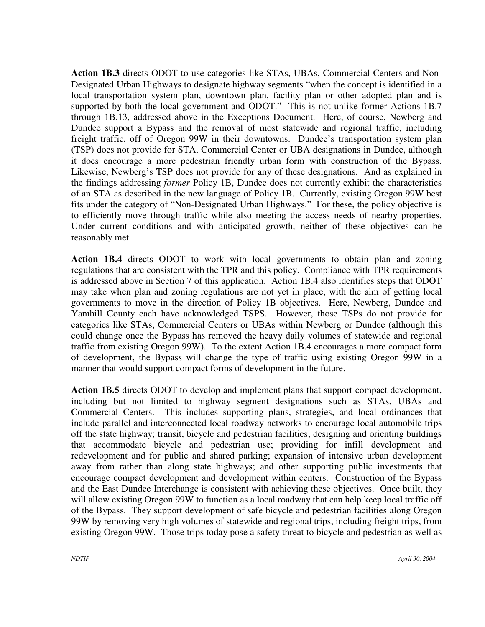**Action 1B.3** directs ODOT to use categories like STAs, UBAs, Commercial Centers and Non-Designated Urban Highways to designate highway segments "when the concept is identified in a local transportation system plan, downtown plan, facility plan or other adopted plan and is supported by both the local government and ODOT." This is not unlike former Actions 1B.7 through 1B.13, addressed above in the Exceptions Document. Here, of course, Newberg and Dundee support a Bypass and the removal of most statewide and regional traffic, including freight traffic, off of Oregon 99W in their downtowns. Dundee's transportation system plan (TSP) does not provide for STA, Commercial Center or UBA designations in Dundee, although it does encourage a more pedestrian friendly urban form with construction of the Bypass. Likewise, Newberg's TSP does not provide for any of these designations. And as explained in the findings addressing *former* Policy 1B, Dundee does not currently exhibit the characteristics of an STA as described in the new language of Policy 1B. Currently, existing Oregon 99W best fits under the category of "Non-Designated Urban Highways." For these, the policy objective is to efficiently move through traffic while also meeting the access needs of nearby properties. Under current conditions and with anticipated growth, neither of these objectives can be reasonably met.

**Action 1B.4** directs ODOT to work with local governments to obtain plan and zoning regulations that are consistent with the TPR and this policy. Compliance with TPR requirements is addressed above in Section 7 of this application. Action 1B.4 also identifies steps that ODOT may take when plan and zoning regulations are not yet in place, with the aim of getting local governments to move in the direction of Policy 1B objectives. Here, Newberg, Dundee and Yamhill County each have acknowledged TSPS. However, those TSPs do not provide for categories like STAs, Commercial Centers or UBAs within Newberg or Dundee (although this could change once the Bypass has removed the heavy daily volumes of statewide and regional traffic from existing Oregon 99W). To the extent Action 1B.4 encourages a more compact form of development, the Bypass will change the type of traffic using existing Oregon 99W in a manner that would support compact forms of development in the future.

**Action 1B.5** directs ODOT to develop and implement plans that support compact development, including but not limited to highway segment designations such as STAs, UBAs and Commercial Centers. This includes supporting plans, strategies, and local ordinances that include parallel and interconnected local roadway networks to encourage local automobile trips off the state highway; transit, bicycle and pedestrian facilities; designing and orienting buildings that accommodate bicycle and pedestrian use; providing for infill development and redevelopment and for public and shared parking; expansion of intensive urban development away from rather than along state highways; and other supporting public investments that encourage compact development and development within centers. Construction of the Bypass and the East Dundee Interchange is consistent with achieving these objectives. Once built, they will allow existing Oregon 99W to function as a local roadway that can help keep local traffic off of the Bypass. They support development of safe bicycle and pedestrian facilities along Oregon 99W by removing very high volumes of statewide and regional trips, including freight trips, from existing Oregon 99W. Those trips today pose a safety threat to bicycle and pedestrian as well as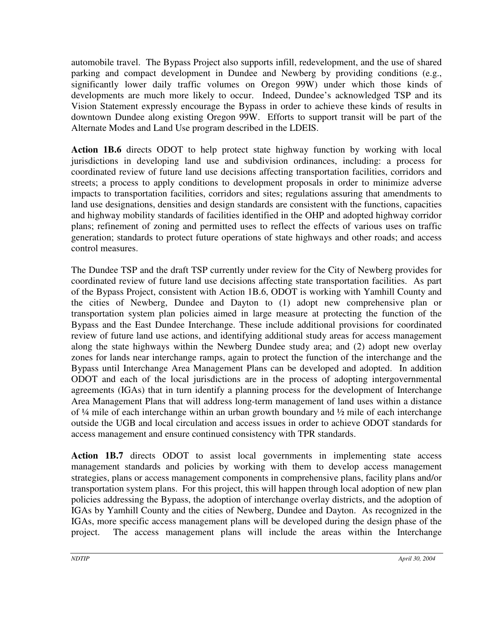automobile travel. The Bypass Project also supports infill, redevelopment, and the use of shared parking and compact development in Dundee and Newberg by providing conditions (e.g., significantly lower daily traffic volumes on Oregon 99W) under which those kinds of developments are much more likely to occur. Indeed, Dundee's acknowledged TSP and its Vision Statement expressly encourage the Bypass in order to achieve these kinds of results in downtown Dundee along existing Oregon 99W. Efforts to support transit will be part of the Alternate Modes and Land Use program described in the LDEIS.

**Action 1B.6** directs ODOT to help protect state highway function by working with local jurisdictions in developing land use and subdivision ordinances, including: a process for coordinated review of future land use decisions affecting transportation facilities, corridors and streets; a process to apply conditions to development proposals in order to minimize adverse impacts to transportation facilities, corridors and sites; regulations assuring that amendments to land use designations, densities and design standards are consistent with the functions, capacities and highway mobility standards of facilities identified in the OHP and adopted highway corridor plans; refinement of zoning and permitted uses to reflect the effects of various uses on traffic generation; standards to protect future operations of state highways and other roads; and access control measures.

The Dundee TSP and the draft TSP currently under review for the City of Newberg provides for coordinated review of future land use decisions affecting state transportation facilities. As part of the Bypass Project, consistent with Action 1B.6, ODOT is working with Yamhill County and the cities of Newberg, Dundee and Dayton to (1) adopt new comprehensive plan or transportation system plan policies aimed in large measure at protecting the function of the Bypass and the East Dundee Interchange. These include additional provisions for coordinated review of future land use actions, and identifying additional study areas for access management along the state highways within the Newberg Dundee study area; and (2) adopt new overlay zones for lands near interchange ramps, again to protect the function of the interchange and the Bypass until Interchange Area Management Plans can be developed and adopted. In addition ODOT and each of the local jurisdictions are in the process of adopting intergovernmental agreements (IGAs) that in turn identify a planning process for the development of Interchange Area Management Plans that will address long-term management of land uses within a distance of ¼ mile of each interchange within an urban growth boundary and ½ mile of each interchange outside the UGB and local circulation and access issues in order to achieve ODOT standards for access management and ensure continued consistency with TPR standards.

**Action 1B.7** directs ODOT to assist local governments in implementing state access management standards and policies by working with them to develop access management strategies, plans or access management components in comprehensive plans, facility plans and/or transportation system plans. For this project, this will happen through local adoption of new plan policies addressing the Bypass, the adoption of interchange overlay districts, and the adoption of IGAs by Yamhill County and the cities of Newberg, Dundee and Dayton. As recognized in the IGAs, more specific access management plans will be developed during the design phase of the project. The access management plans will include the areas within the Interchange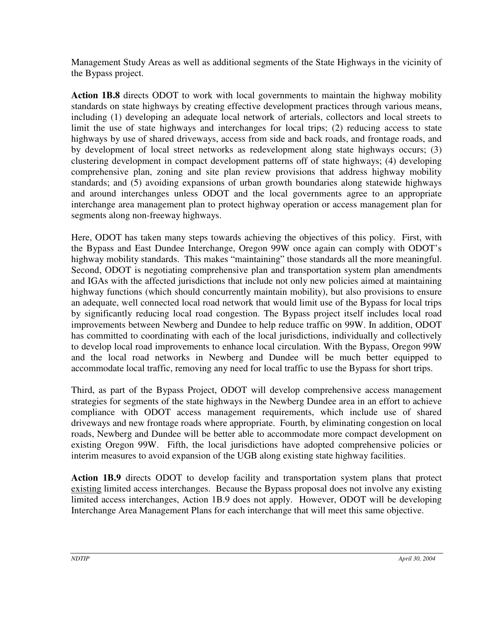Management Study Areas as well as additional segments of the State Highways in the vicinity of the Bypass project.

**Action 1B.8** directs ODOT to work with local governments to maintain the highway mobility standards on state highways by creating effective development practices through various means, including (1) developing an adequate local network of arterials, collectors and local streets to limit the use of state highways and interchanges for local trips; (2) reducing access to state highways by use of shared driveways, access from side and back roads, and frontage roads, and by development of local street networks as redevelopment along state highways occurs; (3) clustering development in compact development patterns off of state highways; (4) developing comprehensive plan, zoning and site plan review provisions that address highway mobility standards; and (5) avoiding expansions of urban growth boundaries along statewide highways and around interchanges unless ODOT and the local governments agree to an appropriate interchange area management plan to protect highway operation or access management plan for segments along non-freeway highways.

Here, ODOT has taken many steps towards achieving the objectives of this policy. First, with the Bypass and East Dundee Interchange, Oregon 99W once again can comply with ODOT's highway mobility standards. This makes "maintaining" those standards all the more meaningful. Second, ODOT is negotiating comprehensive plan and transportation system plan amendments and IGAs with the affected jurisdictions that include not only new policies aimed at maintaining highway functions (which should concurrently maintain mobility), but also provisions to ensure an adequate, well connected local road network that would limit use of the Bypass for local trips by significantly reducing local road congestion. The Bypass project itself includes local road improvements between Newberg and Dundee to help reduce traffic on 99W. In addition, ODOT has committed to coordinating with each of the local jurisdictions, individually and collectively to develop local road improvements to enhance local circulation. With the Bypass, Oregon 99W and the local road networks in Newberg and Dundee will be much better equipped to accommodate local traffic, removing any need for local traffic to use the Bypass for short trips.

Third, as part of the Bypass Project, ODOT will develop comprehensive access management strategies for segments of the state highways in the Newberg Dundee area in an effort to achieve compliance with ODOT access management requirements, which include use of shared driveways and new frontage roads where appropriate. Fourth, by eliminating congestion on local roads, Newberg and Dundee will be better able to accommodate more compact development on existing Oregon 99W. Fifth, the local jurisdictions have adopted comprehensive policies or interim measures to avoid expansion of the UGB along existing state highway facilities.

**Action 1B.9** directs ODOT to develop facility and transportation system plans that protect existing limited access interchanges. Because the Bypass proposal does not involve any existing limited access interchanges, Action 1B.9 does not apply. However, ODOT will be developing Interchange Area Management Plans for each interchange that will meet this same objective.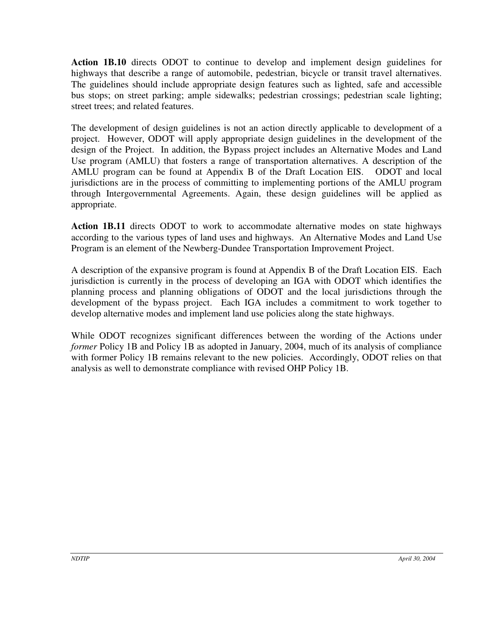**Action 1B.10** directs ODOT to continue to develop and implement design guidelines for highways that describe a range of automobile, pedestrian, bicycle or transit travel alternatives. The guidelines should include appropriate design features such as lighted, safe and accessible bus stops; on street parking; ample sidewalks; pedestrian crossings; pedestrian scale lighting; street trees; and related features.

The development of design guidelines is not an action directly applicable to development of a project. However, ODOT will apply appropriate design guidelines in the development of the design of the Project. In addition, the Bypass project includes an Alternative Modes and Land Use program (AMLU) that fosters a range of transportation alternatives. A description of the AMLU program can be found at Appendix B of the Draft Location EIS. ODOT and local jurisdictions are in the process of committing to implementing portions of the AMLU program through Intergovernmental Agreements. Again, these design guidelines will be applied as appropriate.

**Action 1B.11** directs ODOT to work to accommodate alternative modes on state highways according to the various types of land uses and highways. An Alternative Modes and Land Use Program is an element of the Newberg-Dundee Transportation Improvement Project.

A description of the expansive program is found at Appendix B of the Draft Location EIS. Each jurisdiction is currently in the process of developing an IGA with ODOT which identifies the planning process and planning obligations of ODOT and the local jurisdictions through the development of the bypass project. Each IGA includes a commitment to work together to develop alternative modes and implement land use policies along the state highways.

While ODOT recognizes significant differences between the wording of the Actions under *former* Policy 1B and Policy 1B as adopted in January, 2004, much of its analysis of compliance with former Policy 1B remains relevant to the new policies. Accordingly, ODOT relies on that analysis as well to demonstrate compliance with revised OHP Policy 1B.